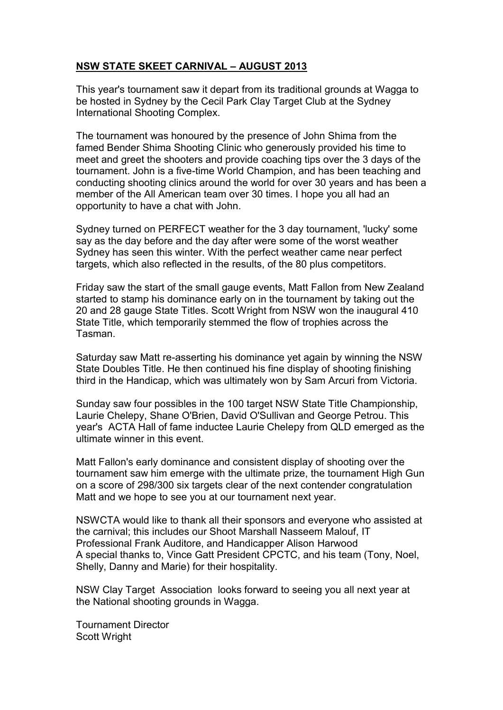# **NSW STATE SKEET CARNIVAL – AUGUST 2013**

This year's tournament saw it depart from its traditional grounds at Wagga to be hosted in Sydney by the Cecil Park Clay Target Club at the Sydney International Shooting Complex.

The tournament was honoured by the presence of John Shima from the famed Bender Shima Shooting Clinic who generously provided his time to meet and greet the shooters and provide coaching tips over the 3 days of the tournament. John is a five-time World Champion, and has been teaching and conducting shooting clinics around the world for over 30 years and has been a member of the All American team over 30 times. I hope you all had an opportunity to have a chat with John.

Sydney turned on PERFECT weather for the 3 day tournament, 'lucky' some say as the day before and the day after were some of the worst weather Sydney has seen this winter. With the perfect weather came near perfect targets, which also reflected in the results, of the 80 plus competitors.

Friday saw the start of the small gauge events, Matt Fallon from New Zealand started to stamp his dominance early on in the tournament by taking out the 20 and 28 gauge State Titles. Scott Wright from NSW won the inaugural 410 State Title, which temporarily stemmed the flow of trophies across the Tasman.

Saturday saw Matt re-asserting his dominance yet again by winning the NSW State Doubles Title. He then continued his fine display of shooting finishing third in the Handicap, which was ultimately won by Sam Arcuri from Victoria.

Sunday saw four possibles in the 100 target NSW State Title Championship, Laurie Chelepy, Shane O'Brien, David O'Sullivan and George Petrou. This year's ACTA Hall of fame inductee Laurie Chelepy from QLD emerged as the ultimate winner in this event.

Matt Fallon's early dominance and consistent display of shooting over the tournament saw him emerge with the ultimate prize, the tournament High Gun on a score of 298/300 six targets clear of the next contender congratulation Matt and we hope to see you at our tournament next year.

NSWCTA would like to thank all their sponsors and everyone who assisted at the carnival; this includes our Shoot Marshall Nasseem Malouf, IT Professional Frank Auditore, and Handicapper Alison Harwood A special thanks to, Vince Gatt President CPCTC, and his team (Tony, Noel, Shelly, Danny and Marie) for their hospitality.

NSW Clay Target Association looks forward to seeing you all next year at the National shooting grounds in Wagga.

Tournament Director Scott Wright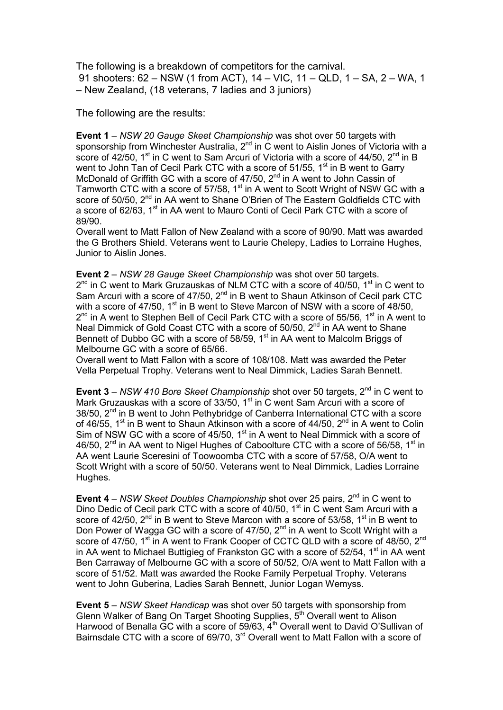The following is a breakdown of competitors for the carnival. 91 shooters: 62 – NSW (1 from ACT), 14 – VIC, 11 – QLD, 1 – SA, 2 – WA, 1 – New Zealand, (18 veterans, 7 ladies and 3 juniors)

The following are the results:

**Event 1** – *NSW 20 Gauge Skeet Championship* was shot over 50 targets with sponsorship from Winchester Australia, 2<sup>nd</sup> in C went to Aislin Jones of Victoria with a score of 42/50,  $1<sup>st</sup>$  in C went to Sam Arcuri of Victoria with a score of 44/50,  $2<sup>nd</sup>$  in B went to John Tan of Cecil Park CTC with a score of  $51/55$ ,  $1<sup>st</sup>$  in B went to Garry McDonald of Griffith GC with a score of  $47/50$ ,  $2<sup>nd</sup>$  in A went to John Cassin of Tamworth CTC with a score of 57/58,  $1<sup>st</sup>$  in A went to Scott Wright of NSW GC with a score of 50/50, 2<sup>nd</sup> in AA went to Shane O'Brien of The Eastern Goldfields CTC with a score of 62/63, 1<sup>st</sup> in AA went to Mauro Conti of Cecil Park CTC with a score of 89/90.

Overall went to Matt Fallon of New Zealand with a score of 90/90. Matt was awarded the G Brothers Shield. Veterans went to Laurie Chelepy, Ladies to Lorraine Hughes, Junior to Aislin Jones.

**Event 2** – *NSW 28 Gauge Skeet Championship* was shot over 50 targets.  $2^{nd}$  in C went to Mark Gruzauskas of NLM CTC with a score of 40/50,  $1^{st}$  in C went to Sam Arcuri with a score of 47/50,  $2^{nd}$  in B went to Shaun Atkinson of Cecil park CTC with a score of 47/50,  $1<sup>st</sup>$  in B went to Steve Marcon of NSW with a score of 48/50,  $2^{nd}$  in A went to Stephen Bell of Cecil Park CTC with a score of 55/56, 1<sup>st</sup> in A went to Neal Dimmick of Gold Coast CTC with a score of 50/50, 2<sup>nd</sup> in AA went to Shane Bennett of Dubbo GC with a score of 58/59,  $1<sup>st</sup>$  in AA went to Malcolm Briggs of Melbourne GC with a score of 65/66.

Overall went to Matt Fallon with a score of 108/108. Matt was awarded the Peter Vella Perpetual Trophy. Veterans went to Neal Dimmick, Ladies Sarah Bennett.

**Event 3** – *NSW 410 Bore Skeet Championship* shot over 50 targets, 2<sup>nd</sup> in C went to Mark Gruzauskas with a score of 33/50,  $1<sup>st</sup>$  in C went Sam Arcuri with a score of 38/50, 2<sup>nd</sup> in B went to John Pethybridge of Canberra International CTC with a score of 46/55, 1<sup>st</sup> in B went to Shaun Atkinson with a score of 44/50,  $2<sup>nd</sup>$  in A went to Colin Sim of NSW GC with a score of 45/50,  $1<sup>st</sup>$  in A went to Neal Dimmick with a score of 46/50,  $2<sup>nd</sup>$  in AA went to Nigel Hughes of Caboolture CTC with a score of 56/58, 1<sup>st</sup> in AA went Laurie Sceresini of Toowoomba CTC with a score of 57/58, O/A went to Scott Wright with a score of 50/50. Veterans went to Neal Dimmick, Ladies Lorraine Hughes.

**Event 4** – *NSW Skeet Doubles Championship* shot over 25 pairs, 2<sup>nd</sup> in C went to Dino Dedic of Cecil park CTC with a score of 40/50,  $1<sup>st</sup>$  in C went Sam Arcuri with a score of 42/50,  $2^{nd}$  in B went to Steve Marcon with a score of 53/58,  $1^{st}$  in B went to Don Power of Wagga GC with a score of 47/50,  $2^{nd}$  in A went to Scott Wright with a score of 47/50, 1<sup>st</sup> in A went to Frank Cooper of CCTC QLD with a score of 48/50, 2<sup>nd</sup> in AA went to Michael Buttigieg of Frankston GC with a score of  $52/54$ , 1<sup>st</sup> in AA went Ben Carraway of Melbourne GC with a score of 50/52, O/A went to Matt Fallon with a score of 51/52. Matt was awarded the Rooke Family Perpetual Trophy. Veterans went to John Guberina, Ladies Sarah Bennett, Junior Logan Wemyss.

**Event 5** – *NSW Skeet Handicap* was shot over 50 targets with sponsorship from Glenn Walker of Bang On Target Shooting Supplies,  $5<sup>th</sup>$  Overall went to Alison Harwood of Benalla GC with a score of  $59/63$ ,  $4<sup>th</sup>$  Overall went to David O'Sullivan of Bairnsdale CTC with a score of 69/70, 3<sup>rd</sup> Overall went to Matt Fallon with a score of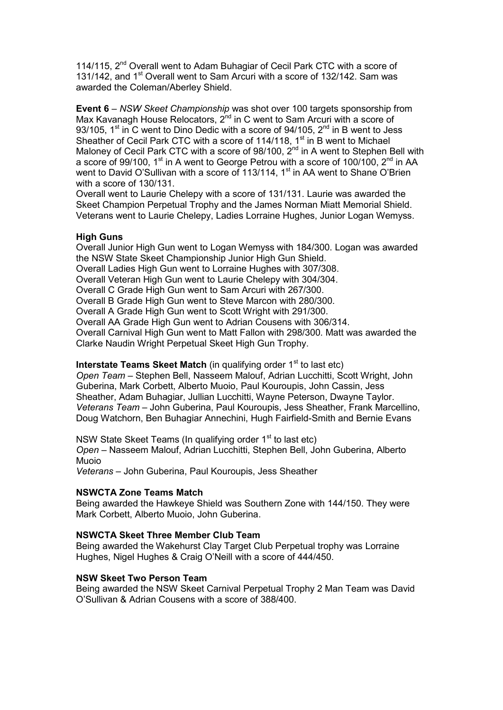114/115, 2<sup>nd</sup> Overall went to Adam Buhagiar of Cecil Park CTC with a score of 131/142, and 1<sup>st</sup> Overall went to Sam Arcuri with a score of 132/142. Sam was awarded the Coleman/Aberley Shield.

**Event 6** – *NSW Skeet Championship* was shot over 100 targets sponsorship from Max Kavanagh House Relocators, 2<sup>nd</sup> in C went to Sam Arcuri with a score of 93/105, 1<sup>st</sup> in C went to Dino Dedic with a score of 94/105,  $2^{nd}$  in B went to Jess Sheather of Cecil Park CTC with a score of  $114/118$ ,  $1<sup>st</sup>$  in B went to Michael Maloney of Cecil Park CTC with a score of 98/100,  $2^{nd}$  in A went to Stephen Bell with a score of 99/100, 1<sup>st</sup> in A went to George Petrou with a score of 100/100, 2<sup>nd</sup> in AA went to David O'Sullivan with a score of 113/114,  $1<sup>st</sup>$  in AA went to Shane O'Brien with a score of 130/131.

Overall went to Laurie Chelepy with a score of 131/131. Laurie was awarded the Skeet Champion Perpetual Trophy and the James Norman Miatt Memorial Shield. Veterans went to Laurie Chelepy, Ladies Lorraine Hughes, Junior Logan Wemyss.

## **High Guns**

Overall Junior High Gun went to Logan Wemyss with 184/300. Logan was awarded the NSW State Skeet Championship Junior High Gun Shield. Overall Ladies High Gun went to Lorraine Hughes with 307/308. Overall Veteran High Gun went to Laurie Chelepy with 304/304. Overall C Grade High Gun went to Sam Arcuri with 267/300. Overall B Grade High Gun went to Steve Marcon with 280/300. Overall A Grade High Gun went to Scott Wright with 291/300. Overall AA Grade High Gun went to Adrian Cousens with 306/314. Overall Carnival High Gun went to Matt Fallon with 298/300. Matt was awarded the Clarke Naudin Wright Perpetual Skeet High Gun Trophy.

## **Interstate Teams Skeet Match** (in qualifying order 1<sup>st</sup> to last etc)

*Open Team* – Stephen Bell, Nasseem Malouf, Adrian Lucchitti, Scott Wright, John Guberina, Mark Corbett, Alberto Muoio, Paul Kouroupis, John Cassin, Jess Sheather, Adam Buhagiar, Jullian Lucchitti, Wayne Peterson, Dwayne Taylor. *Veterans Team* – John Guberina, Paul Kouroupis, Jess Sheather, Frank Marcellino, Doug Watchorn, Ben Buhagiar Annechini, Hugh Fairfield-Smith and Bernie Evans

NSW State Skeet Teams (In qualifying order 1<sup>st</sup> to last etc) *Open* – Nasseem Malouf, Adrian Lucchitti, Stephen Bell, John Guberina, Alberto Muoio

*Veterans* – John Guberina, Paul Kouroupis, Jess Sheather

#### **NSWCTA Zone Teams Match**

Being awarded the Hawkeye Shield was Southern Zone with 144/150. They were Mark Corbett, Alberto Muoio, John Guberina.

#### **NSWCTA Skeet Three Member Club Team**

Being awarded the Wakehurst Clay Target Club Perpetual trophy was Lorraine Hughes, Nigel Hughes & Craig O'Neill with a score of 444/450.

#### **NSW Skeet Two Person Team**

Being awarded the NSW Skeet Carnival Perpetual Trophy 2 Man Team was David O'Sullivan & Adrian Cousens with a score of 388/400.